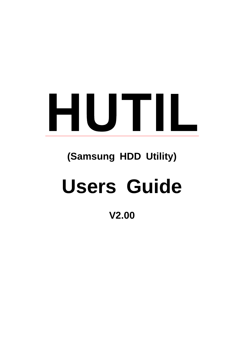# HUTIL

## **(Samsung HDD Utility)**

# **Users Guide**

### **V2.00**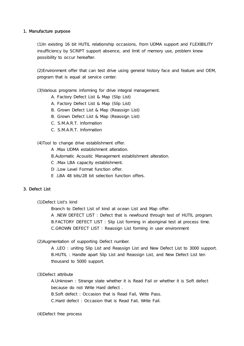#### 1. Manufacture purpose

(1)In existing 16 bit HUTIL relationship occasions, from UDMA support and FLEXIBILITY insufficiency by SCRIPT support absence, and limit of memory use, problem knew possibility to occur hereafter.

(2)Environment offer that can test drive using general history face and feature and OEM, program that is equal at service center.

(3)Various programs informing for drive integral management.

- A. Factory Defect List & Map (Slip List)
- A. Factory Defect List & Map (Slip List)
- B. Grown Defect List & Map (Reassign List)
- B. Grown Defect List & Map (Reassign List)
- C. S.M.A.R.T. Information
- C. S.M.A.R.T. Information

(4)Tool to change drive establishment offer.

- A .Max UDMA establishment alteration.
- B.Automatic Acoustic Management establishment alteration.
- C .Max LBA capacity establishment.
- D .Low Level Format function offer.
- E .LBA 48 bits/28 bit selection function offers.

#### 3. Defect List

(1)Defect List's kind

Branch to Defect List of kind at ocean List and Map offer.

A .NEW DEFECT LIST : Defect that is newfound through test of HUTIL program. B.FACTORY DEFECT LIST : Slip List forming in aboriginal test at process time. C.GROWN DEFECT LIST : Reassign List forming in user environment

(2)Augmentation of supporting Defect number.

A .LEO : uniting Slip List and Reassign List and New Defect List to 3000 support. B.HUTIL : Handle apart Slip List and Reassign List, and New Defect List ten thousand to 5000 support.

(3)Defect attribute

A.Unknown : Strange state whether it is Read Fail or whether it is Soft defect because do not Write Hard defect .

B.Soft defect : Occasion that is Read Fail, Write Pass.

C.Hard defect : Occasion that is Read Fail, Write Fail.

(4)Defect free process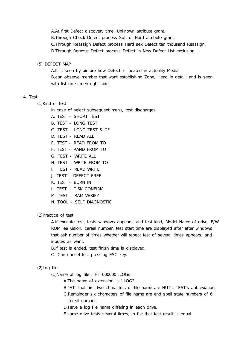A.At first Defect discovery time, Unknown attribute grant.

B.Through Check Defect process Soft or Hard attribute grant.

C.Through Reassign Defect process Hard sex Defect ten thousand Reassign.

D.Through Remove Defect process Defect in New Defect List exclusion.

(5) DEFECT MAP

A.It is seen by picture how Defect is located in actuality Media. B.can observe member that want establishing Zone, Head in detail, and is seen with list on screen right side.

#### 4. Test

(1)Kind of test

In case of select subsequent menu, test discharges.

- A. TEST SHORT TEST
- B. TEST LONG TEST
- C. TEST LONG TEST & DF
- D. TEST READ ALL
- E. TEST READ FROM TO
- F. TEST RAND FROM TO
- G. TEST WRITE ALL
- H. TEST WRITE FROM TO
- I. TEST READ WRITE
- J. TEST DEFECT FREE
- K. TEST BURN IN
- L. TEST DISK CONFIRM
- M. TEST RAM VERIFY
- N. TOOL SELF DIAGNOSTIC

(2)Practice of test

A.if execute test, tests windows appears, and test kind, Model Name of drive, F/W ROM lee vision, cereal number, test start time are displayed after after windows that ask number of times whether will repeat test of several times appears, and inputes as want.

B.if test is ended, test finish time is displayed.

C. Can cancel test pressing ESC key.

#### (2)Log file

(1)Name of log file : HT 000000 .LOGs

A.The name of extension is ".LOG"

B."HT" that first two characters of file name are HUTIL TEST's abbreviation

C.Remainder six characters of file name are end spell state numbers of 6 cereal number.

D. Have a log file name differing in each drive.

E.same drive tests several times, in file that test result is equal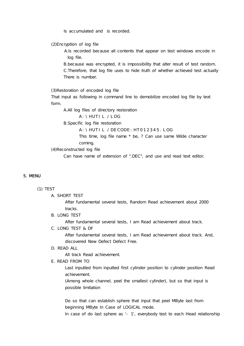Is accumulated and is recorded.

(2)Encryption of log file

A.Is recorded because all contents that appear on test windows encode in log file.

B.because was encrypted, it is impossibility that alter result of test random. C.Therefore, that log file uses to hide truth of whether achieved test actually There is number.

(3)Restoration of encoded log file

That input as following in command line to demobilize encoded log file by text form.

A.All log files of directory restoration

A:\HUTIL /LOG

B.Specific log file restoration

A:\HUTIL /DECODE:HT012345.LOG

This time, log file name \* be, ? Can use same Wilde character coming.

(4)Reconstructed log file

Can have name of extension of ".DEC", and use and read text editor.

#### 5. MENU

#### (1) TEST

A. SHORT TEST

After fundamental several tests, Random Read achievement about 2000 tracks.

B. LONG TEST

After fundamental several tests, I am Read achievement about track.

C. LONG TEST & DF

After fundamental several tests, I am Read achievement about track. And, discovered New Defect Defect Free.

#### D. READ ALL

All track Read achievement.

E. READ FROM TO

Last inputted from inputted first cylinder position to cylinder position Read achievement.

(Among whole channel, peel the smallest cylinder), but so that input is possible limitation

Do so that can establish sphere that input that peel MByte last from beginning MByte In Case of LOGICAL mode.

In case of do last sphere as '- 1', everybody test to each Head relationship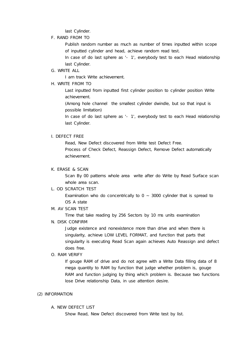last Cylinder.

F. RAND FROM TO

Publish random number as much as number of times inputted within scope of inputted cylinder and head, achieve random read test.

In case of do last sphere as '- 1', everybody test to each Head relationship last Cylinder.

G. WRITE ALL

I am track Write achievement.

H. WRITE FROM TO

Last inputted from inputted first cylinder position to cylinder position Write achievement.

(Among hole channel the smallest cylinder dwindle, but so that input is possible limitation)

In case of do last sphere as '- 1', everybody test to each Head relationship last Cylinder.

#### I. DEFECT FREE

Read, New Defect discovered from Write test Defect Free. Process of Check Defect, Reassign Defect, Remove Defect automatically achievement.

#### K. ERASE & SCAN

Scan By 00 patterns whole area write after do Write by Read Surface scan whole area scan.

L. OD SCRATCH TEST

Examination who do concentrically to  $0 \sim 3000$  cylinder that is spread to OS A state

M. AV SCAN TEST

Time that take reading by 256 Sectors by 10 ms units examination

N. DISK CONFIRM

Judge existence and nonexistence more than drive and when there is singularity, achieve LOW LEVEL FORMAT, and function that parts that singularity is executing Read Scan again achieves Auto Reassign and defect does free.

O. RAM VERIFY

If gouge RAM of drive and do not agree with a Write Data filling data of 8 mega quantity to RAM by function that judge whether problem is, gouge RAM and function judging by thing which problem is. Because two functions lose Drive relationship Data, in use attention desire.

#### (2) INFORMATION

A. NEW DEFECT LIST

Show Read, New Defect discovered from Write test by list.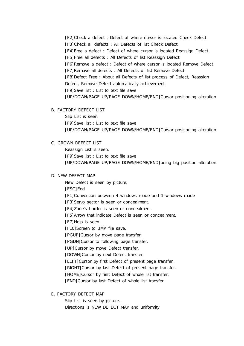[F2]Check a defect : Defect of where cursor is located Check Defect [F3] Check all defects : All Defects of list Check Defect [F4]Free a defect : Defect of where cursor is located Reassign Defect [F5]Free all defects : All Defects of list Reassign Defect [F6]Remove a defect : Defect of where cursor is located Remove Defect [F7] Remove all defects : All Defects of list Remove Defect [F8]Defect Free : About all Defects of list process of Defect, Reassign Defect, Remove Defect automatically achievement. [F9]Save list : List to text file save [UP/DOWN/PAGE UP/PAGE DOWN/HOME/END]Cursor positioning alteration

B. FACTORY DEFECT LIST

Slip List is seen. [F9]Save list : List to text file save [UP/DOWN/PAGE UP/PAGE DOWN/HOME/END]Cursor positioning alteration

#### C. GROWN DEFECT LIST

Reassign List is seen. [F9]Save list : List to text file save [UP/DOWN/PAGE UP/PAGE DOWN/HOME/END]being big position alteration

#### D. NEW DEFECT MAP

New Defect is seen by picture. [ESC]End [F1]Conversion between 4 windows mode and 1 windows mode [F3] Servo sector is seen or concealment. [F4]Zone's border is seen or concealment. [F5]Arrow that indicate Defect is seen or concealment. [F7] Help is seen. [F10] Screen to BMP file save. [PGUP]Cursor by move page transfer. [PGDN]Cursor to following page transfer. [UP]Cursor by move Defect transfer. [DOWN]Cursor by next Defect transfer. [LEFT]Cursor by first Defect of present page transfer.

[RIGHT]Cursor by last Defect of present page transfer.

[HOME]Cursor by first Defect of whole list transfer.

[END] Cursor by last Defect of whole list transfer.

E. FACTORY DEFECT MAP

Slip List is seen by picture. Directions is NEW DEFECT MAP and uniformity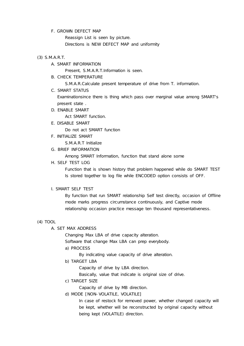#### F. GROWN DEFECT MAP

Reassign List is seen by picture. Directions is NEW DEFECT MAP and uniformity

#### (3) S.M.A.R.T.

A. SMART INFORMATION

Present, S.M.A.R.T.Information is seen.

B. CHECK TEMPERATURE

S.M.A.R.Calculate present temperature of drive from T. information.

C. SMART STATUS

Examinationsince there is thing which pass over marginal value among SMART's present state .

D. ENABLE SMART

Act SMART function.

E. DISABLE SMART

Do not act SMART function

F. INITIALIZE SMART

S.M.A.R.T Initialize

G. BRIEF INFORMATION

Among SMART Information, function that stand alone some

H. SELF TEST LOG

Function that is shown history that problem happened while do SMART TEST Is stored together to log file while ENCODED option consists of OFF.

#### I. SMART SELF TEST

By function that run SMART relationship Self test directly, occasion of Offline mode marks progress circumstance continuously, and Captive mode relationship occasion practice message ten thousand representativeness.

#### (4) TOOL

A. SET MAX ADDRESS

Changing Max LBA of drive capacity alteration.

Software that change Max LBA can prep everybody.

a) PROCESS

By indicating value capacity of drive alteration.

b) TARGET LBA

Capacity of drive by LBA direction.

Basically, value that indicate is original size of drive.

- c) TARGET SIZE
	- Capacity of drive by MB direction.
- d) MODE [NON-VOLATILE, VOLATILE]

In case of restock for removed power, whether changed capacity will be kept, whether will be reconstructed by original capacity without being kept (VOLATILE) direction.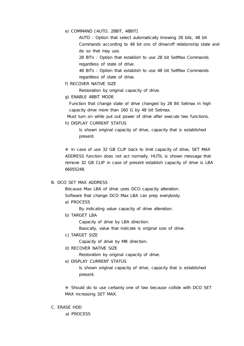e) COMMAND [AUTO, 28BIT, 48BIT]

AUTO : Option that select automatically knowing 28 bits, 48 bit Commands according to 48 bit ons of drive/off relationship state and do so that may use.

28 BITs : Option that establish to use 28 bit SetMax Commands regardless of state of drive.

48 BITs : Option that establish to use 48 bit SetMax Commands regardless of state of drive.

f) RECOVER NATIVE SIZE

Restoration by original capacity of drive.

g) ENABLE 48BIT MODE

Function that change state of drive changed by 28 Bit Setmax in high capacity drive more than 160 G by 48 bit Setmax.

Must turn on while put out power of drive after execute two functions.

h) DISPLAY CURRENT STATUS

Is shown original capacity of drive, capacity that is established present.

In case of use 32 GB CLIP back to limit capacity of drive, SET MAX ADDRESS function does not act normally. HUTIL is shown message that remove 32 GB CLIP in case of present establish capacity of drive is LBA 66055248.

#### B. DCO SET MAX ADDRESS

Because Max LBA of drive uses DCO capacity alteration. Software that change DCO Max LBA can prep everybody.

a) PROCESS

By indicating value capacity of drive alteration.

b) TARGET LBA

Capacity of drive by LBA direction.

Basically, value that indicate is original size of drive.

c) TARGET SIZE

Capacity of drive by MB direction.

d) RECOVER NATIVE SIZE

Restoration by original capacity of drive.

e) DISPLAY CURRENT STATUS

Is shown original capacity of drive, capacity that is established present.

Should do to use certainly one of two because collide with DCO SET MAX increasing SET MAX.

C. ERASE HDD

a) PROCESS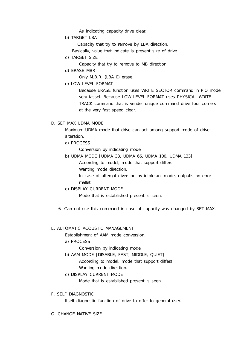As indicating capacity drive clear.

b) TARGET LBA

Capacity that try to remove by LBA direction.

Basically, value that indicate is present size of drive.

c) TARGET SIZE

Capacity that try to remove to MB direction.

d) ERASE MBR

Only M.B.R. (LBA 0) erase.

e) LOW LEVEL FORMAT

Because ERASE function uses WRITE SECTOR command in PIO mode very tassel. Because LOW LEVEL FORMAT uses PHYSICAL WRITE TRACK command that is vender unique command drive four corners at the very fast speed clear.

#### D. SET MAX UDMA MODE

Maximum UDMA mode that drive can act among support mode of drive alteration.

a) PROCESS

Conversion by indicating mode

b) UDMA MODE [UDMA 33, UDMA 66, UDMA 100, UDMA 133]

According to model, mode that support differs.

Wanting mode direction.

In case of attempt diversion by intolerant mode, outputis an error mallet .

c) DISPLAY CURRENT MODE

Mode that is established present is seen.

Can not use this command in case of capacity was changed by SET MAX.

#### E. AUTOMATIC ACOUSTIC MANAGEMENT

Establishment of AAM mode conversion.

a) PROCESS

Conversion by indicating mode

b) AAM MODE [DISABLE, FAST, MIDDLE, QUIET]

According to model, mode that support differs.

Wanting mode direction.

c) DISPLAY CURRENT MODE

Mode that is established present is seen.

F. SELF DIAGNOSTIC

Itself diagnostic function of drive to offer to general user.

G. CHANGE NATIVE SIZE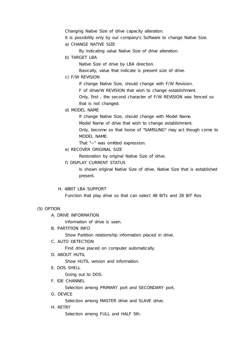Changing Native Size of drive capacity alteration.

- It is possibility only by our company's Software to change Native Size.
- a) CHANGE NATIVE SIZE

By indicating value Native Size of drive alteration.

b) TARGET LBA

Native Size of drive by LBA direction.

Basically, value that indicate is present size of drive.

c) F/W REVISION

If change Native Size, should change with F/W Revision. F of drive/W REVISION that wish to change establishment.

Only, first , the second character of F/W REVISION was fenced so that is not changed.

d) MODEL NAME

If change Native Size, should change with Model Name.

Model Name of drive that wish to change establishment.

Only, become so that horse of "SAMSUNG" may act though come to MODEL NAME.

That "~" was omitted expression.

e) RECOVER ORIGINAL SIZE

Restoration by original Native Size of drive.

f) DISPLAY CURRENT STATUS

Is shown original Native Size of drive, Native Size that is established present.

#### H. 48BIT LBA SUPPORT

Function that play drive so that can select 48 BITs and 28 BIT Ros

#### (5) OPTION

A. DRIVE INFORMATION

Information of drive is seen.

B. PARTITION INFO

Show Partition relationship information placed in drive.

C. AUTO DETECTION

Find drive placed on computer automatically.

D. ABOUT HUTIL

Show HUTIL version and information.

E. DOS SHELL

Going out to DOS.

F. IDE CHANNEL

Selection among PRIMARY port and SECONDARY port.

G. DEVICE

Selection among MASTER drive and SLAVE drive.

H. RETRY

Selection among FULL and HALF 5th.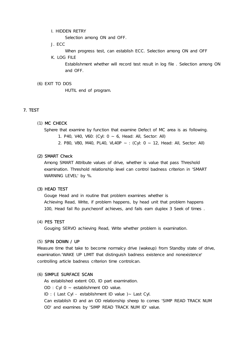I. HIDDEN RETRY

Selection among ON and OFF.

J. ECC

When progress test, can establish ECC. Selection among ON and OFF

K. LOG FILE

Establishment whether will record test result in log file . Selection among ON and OFF.

#### (6) EXIT TO DOS

HUTIL end of program.

#### 7. TEST

#### (1) MC CHECK

Sphere that examine by function that examine Defect of MC area is as following.

- 1. P40, V40, V60: (Cyl: 0 ~ 6, Head: All, Sector: All)
- 2. P80, V80, M40, PL40, VL40P ~ : (Cyl: 0 ~ 12, Head: All, Sector: All)

#### (2) SMART Check

Among SMART Attribute values of drive, whether is value that pass Threshold examination. Threshold relationship level can control badness criterion in 'SMART WARNING LEVEL' by %.

#### (3) HEAD TEST

Gouge Head and in routine that problem examines whether is Achieving Read, Write, if problem happens, by head unit that problem happens 100, Head fail Ro puncheonif achieves, and fails earn duplex 3 Seek of times .

#### (4) PES TEST

Gouging SERVO achieving Read, Write whether problem is examination.

#### (5) SPIN DOWN / UP

Measure time that take to become normalcy drive (wakeup) from Standby state of drive, examination.'WAKE UP LIMIT that distinguish badness existence and nonexistence' controlling article badness criterion time controlcan.

#### (6) SIMPLE SURFACE SCAN

As established extent OD, ID part examination.

OD : Cyl 0 ~ establishment OD value.

ID : ( Last Cyl - establishment ID value )~ Last Cyl.

Can establish ID and an OD relationship sheep to comes 'SIMP READ TRACK NUM OD' and examines by 'SIMP READ TRACK NUM ID' value.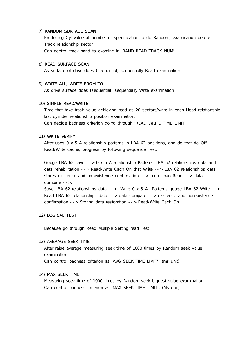#### (7) RANDOM SURFACE SCAN

Producing Cyl value of number of specification to do Random, examination before Track relationship sector Can control track hand to examine in 'RAND READ TRACK NUM'.

#### (8) READ SURFACE SCAN

As surface of drive does (sequential) sequentially Read examination

#### (9) WRITE ALL, WRITE FROM TO

As drive surface does (sequential) sequentially Write examination

#### (10) SIMPLE READ/WRITE

Time that take trash value achieving read as 20 sectors/write in each Head relationship last cylinder relationship position examination.

Can decide badness criterion going through 'READ WRITE TIME LIMIT'.

#### (11) WRITE VERIFY

After uses 0 x 5 A relationship patterns in LBA 62 positions, and do that do Off Read/Write cache, progress by following sequence Test.

Gouge LBA 62 save --> 0 x 5 A relationship Patterns LBA 62 relationships data and data rehabilitation --> Read/Write Cach On that Write --> LBA 62 relationships data stores existence and nonexistence confirmation --> more than Read --> data compare -->.

Save LBA 62 relationships data --> Write 0 x 5 A Patterns gouge LBA 62 Write --> Read LBA 62 relationships data --> data compare --> existence and nonexistence confirmation --> Storing data restoration --> Read/Write Cach On.

#### (12) LOGICAL TEST

Because go through Read Multiple Setting read Test

#### (13) AVERAGE SEEK TIME

After raise average measuring seek time of 1000 times by Random seek Value examination

Can control badness criterion as 'AVG SEEK TIME LIMIT'. (ms unit)

#### (14) MAX SEEK TIME

Measuring seek time of 1000 times by Random seek biggest value examination. Can control badness criterion as 'MAX SEEK TIME LIMIT'. (Ms unit)